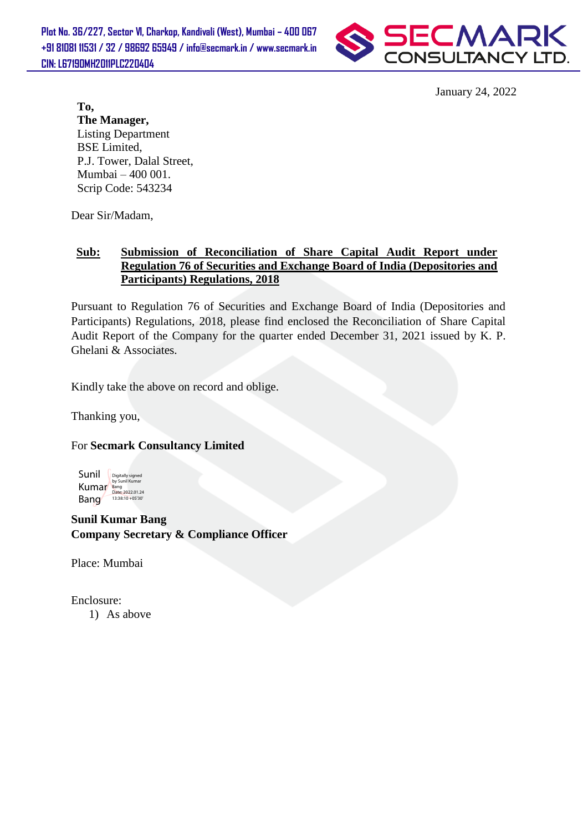

January 24, 2022

**To, The Manager,** Listing Department BSE Limited, P.J. Tower, Dalal Street, Mumbai – 400 001. Scrip Code: 543234

Dear Sir/Madam,

#### **Sub: Submission of Reconciliation of Share Capital Audit Report under Regulation 76 of Securities and Exchange Board of India (Depositories and Participants) Regulations, 2018**

Pursuant to Regulation 76 of Securities and Exchange Board of India (Depositories and Participants) Regulations, 2018, please find enclosed the Reconciliation of Share Capital Audit Report of the Company for the quarter ended December 31, 2021 issued by K. P. Ghelani & Associates.

Kindly take the above on record and oblige.

Thanking you,

#### For **Secmark Consultancy Limited**

Sunil Kumar Bang Digitally signed by Sunil Kumar Bang Date: 2022.01.24 13:38:10 +05'30'

**Sunil Kumar Bang Company Secretary & Compliance Officer**

Place: Mumbai

Enclosure:

1) As above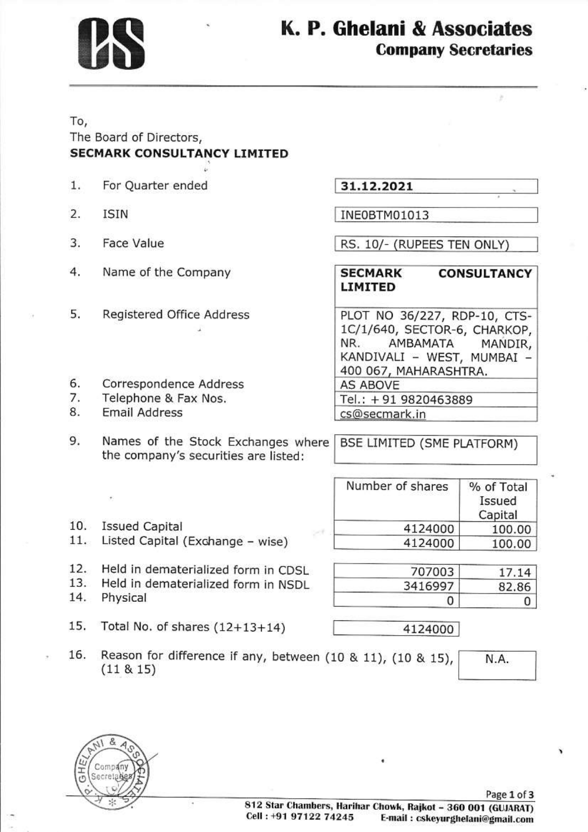

## K. P. Ghelani & Associates **Company Secretaries**

### To, The Board of Directors, SECMARK CONSULTANCY LIMITED

- 1, For Quarter ended
- 2. ISIN
- 3. Face Value
- 4. Name of the company
- 5. Registered Office Address

6. correspondence Address

- 7. Telephone & Fax Nos,
- 8.

## 31.12.202r.

INEOBTM01013

RS. 10/- (RUPEES TEN ONLY)

### SECMARK CONSULTANCY LIMITED

PLOT NO 36/227, RDP-10, CTS-1C/1/640, SECTOR-6, CHARKOP,<br>NR. AMBAMATA MANDIR, KANDIVALI - WEST, MUMBAI -400 067, MAHARASHTRA.<br>AS ABOVE

Tel.: + 91 9820463889 cs@secmark.in

Number of shares

- 9. Names of the Stock Exchanges where the company's securities are listed: BSE LIMITED (SME PLATFORM)
- $10.$
- 10. Issued Capital<br>11. Listed Capital (Exchange wise)

| 4124000 | 100.00 |
|---------|--------|
| 4124000 | 100.00 |
| 707003  | 17.14  |
| 3416997 | 82.86  |

0

% of Total Issued Capital

N.A.

- 12. Held in dematerialized form in CDSL<br>13. Held in dematerialized form in NSDL<br>14. Physical
- 
- 15. Total No. of shares (12+13+14)

| 24000 |
|-------|
|       |

16. Reason for difference if any, between  $(10 \& 11)$ ,  $(10 \& 15)$ ,  $(11 \& 15)$ 

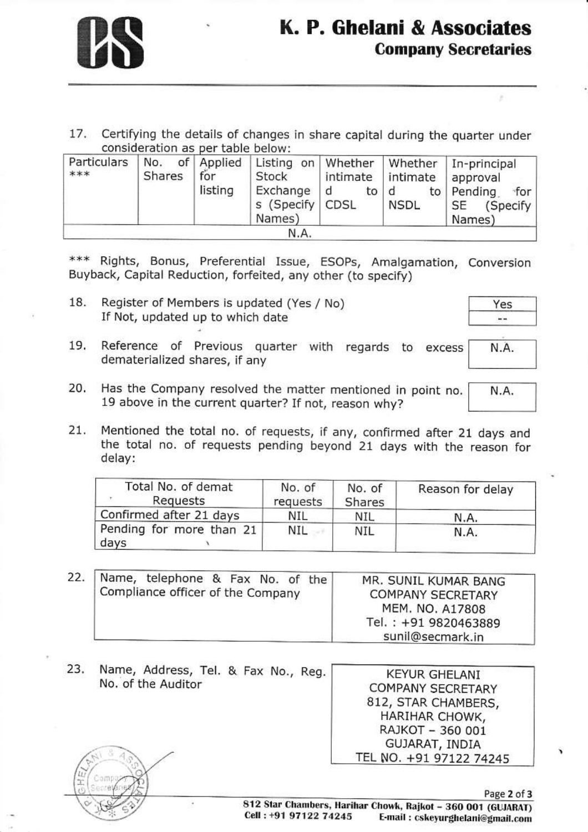17. Certifying the details of changes in share capital during the quarter under consideration as per table below:

| Particulars<br>*** | Shares | for<br>listing | Stock<br>Exchange<br>s (Specify   CDSL<br>Names) | intimate intimate<br>to   d<br>d | <b>NSDL</b> | No. of Applied   Listing on   Whether   Whether   In-principal<br>approval<br>to   Pending<br>∘for ∣<br>SE<br>(Specify)<br>Names) |
|--------------------|--------|----------------|--------------------------------------------------|----------------------------------|-------------|-----------------------------------------------------------------------------------------------------------------------------------|
|                    |        |                | N.A.                                             |                                  |             |                                                                                                                                   |

\*\*\* Rights, Bonus, Preferential Issue, ESOPs, Amalgamation, Conversion Buyback, Capital Reduction, forfeited, any other (to specify)

18. Register of Members is updated (Yes / No) If Not, updated up to which date

| in a |  |
|------|--|

N.A.

- Reference of Previous quarter with regards to excess 19. dematerialized shares, if any
- 20. Has the Company resolved the matter mentioned in point no. N.A. 19 above in the current quarter? If not, reason why?
- 21. Mentioned the total no. of requests, if any, confirmed after 21 days and the total no. of requests pending beyond 21 days with the reason for delay:

| Total No. of demat<br>Requests   | No. of<br>requests | No. of<br>Shares | Reason for delay |
|----------------------------------|--------------------|------------------|------------------|
| Confirmed after 21 days          | NIL                | NIL              | N.A.             |
| Pending for more than 21<br>days | NIL                | NIL              | N.A.             |

| 22. | Name, telephone & Fax No. of the<br>Compliance officer of the Company | MR. SUNIL KUMAR BANG<br><b>COMPANY SECRETARY</b><br>MEM. NO. A17808<br>Tel.: +91 9820463889 |
|-----|-----------------------------------------------------------------------|---------------------------------------------------------------------------------------------|
|     |                                                                       | sunil@secmark.in                                                                            |

Name, Address, Tel. & Fax No., Reg. 23. **KEYUR GHELANI** No. of the Auditor **COMPANY SECRETARY** 812, STAR CHAMBERS, HARIHAR CHOWK, RAJKOT - 360 001 GUJARAT, INDIA TEL NO. +91 97122 74245